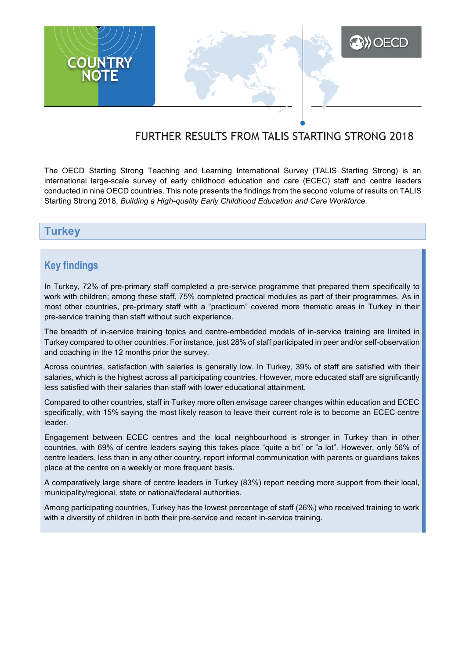

# FURTHER RESULTS FROM TALIS STARTING STRONG 2018

The OECD Starting Strong Teaching and Learning International Survey (TALIS Starting Strong) is an international large-scale survey of early childhood education and care (ECEC) staff and centre leaders conducted in nine OECD countries. This note presents the findings from the second volume of results on TALIS Starting Strong 2018, *Building a High-quality Early Childhood Education and Care Workforce*.

### **Turkey**

## **Key findings**

In Turkey, 72% of pre-primary staff completed a pre-service programme that prepared them specifically to work with children; among these staff, 75% completed practical modules as part of their programmes. As in most other countries, pre-primary staff with a "practicum" covered more thematic areas in Turkey in their pre-service training than staff without such experience.

The breadth of in-service training topics and centre-embedded models of in-service training are limited in Turkey compared to other countries. For instance, just 28% of staff participated in peer and/or self-observation and coaching in the 12 months prior the survey.

Across countries, satisfaction with salaries is generally low. In Turkey, 39% of staff are satisfied with their salaries, which is the highest across all participating countries. However, more educated staff are significantly less satisfied with their salaries than staff with lower educational attainment.

Compared to other countries, staff in Turkey more often envisage career changes within education and ECEC specifically, with 15% saying the most likely reason to leave their current role is to become an ECEC centre leader.

Engagement between ECEC centres and the local neighbourhood is stronger in Turkey than in other countries, with 69% of centre leaders saying this takes place "quite a bit" or "a lot". However, only 56% of centre leaders, less than in any other country, report informal communication with parents or guardians takes place at the centre on a weekly or more frequent basis.

A comparatively large share of centre leaders in Turkey (83%) report needing more support from their local, municipality/regional, state or national/federal authorities.

Among participating countries, Turkey has the lowest percentage of staff (26%) who received training to work with a diversity of children in both their pre-service and recent in-service training.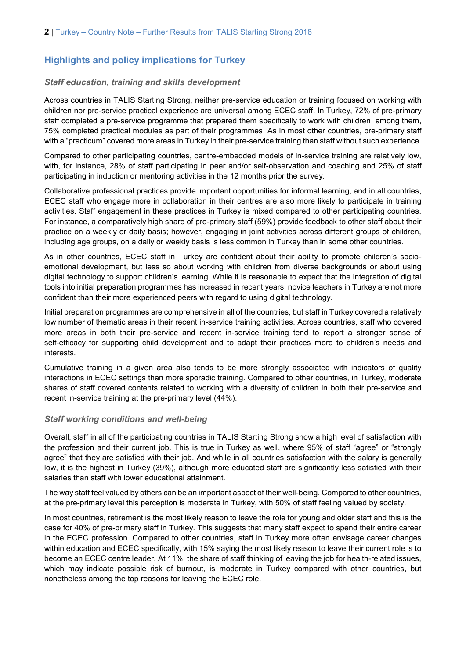## **Highlights and policy implications for Turkey**

#### *Staff education, training and skills development*

Across countries in TALIS Starting Strong, neither pre-service education or training focused on working with children nor pre-service practical experience are universal among ECEC staff. In Turkey, 72% of pre-primary staff completed a pre-service programme that prepared them specifically to work with children; among them, 75% completed practical modules as part of their programmes. As in most other countries, pre-primary staff with a "practicum" covered more areas in Turkey in their pre-service training than staff without such experience.

Compared to other participating countries, centre-embedded models of in-service training are relatively low, with, for instance, 28% of staff participating in peer and/or self-observation and coaching and 25% of staff participating in induction or mentoring activities in the 12 months prior the survey.

Collaborative professional practices provide important opportunities for informal learning, and in all countries, ECEC staff who engage more in collaboration in their centres are also more likely to participate in training activities. Staff engagement in these practices in Turkey is mixed compared to other participating countries. For instance, a comparatively high share of pre-primary staff (59%) provide feedback to other staff about their practice on a weekly or daily basis; however, engaging in joint activities across different groups of children, including age groups, on a daily or weekly basis is less common in Turkey than in some other countries.

As in other countries, ECEC staff in Turkey are confident about their ability to promote children's socioemotional development, but less so about working with children from diverse backgrounds or about using digital technology to support children's learning. While it is reasonable to expect that the integration of digital tools into initial preparation programmes has increased in recent years, novice teachers in Turkey are not more confident than their more experienced peers with regard to using digital technology.

Initial preparation programmes are comprehensive in all of the countries, but staff in Turkey covered a relatively low number of thematic areas in their recent in-service training activities. Across countries, staff who covered more areas in both their pre-service and recent in-service training tend to report a stronger sense of self-efficacy for supporting child development and to adapt their practices more to children's needs and interests.

Cumulative training in a given area also tends to be more strongly associated with indicators of quality interactions in ECEC settings than more sporadic training. Compared to other countries, in Turkey, moderate shares of staff covered contents related to working with a diversity of children in both their pre-service and recent in-service training at the pre-primary level (44%).

#### *Staff working conditions and well-being*

Overall, staff in all of the participating countries in TALIS Starting Strong show a high level of satisfaction with the profession and their current job. This is true in Turkey as well, where 95% of staff "agree" or "strongly agree" that they are satisfied with their job. And while in all countries satisfaction with the salary is generally low, it is the highest in Turkey (39%), although more educated staff are significantly less satisfied with their salaries than staff with lower educational attainment.

The way staff feel valued by others can be an important aspect of their well-being. Compared to other countries, at the pre-primary level this perception is moderate in Turkey, with 50% of staff feeling valued by society.

In most countries, retirement is the most likely reason to leave the role for young and older staff and this is the case for 40% of pre-primary staff in Turkey. This suggests that many staff expect to spend their entire career in the ECEC profession. Compared to other countries, staff in Turkey more often envisage career changes within education and ECEC specifically, with 15% saying the most likely reason to leave their current role is to become an ECEC centre leader. At 11%, the share of staff thinking of leaving the job for health-related issues, which may indicate possible risk of burnout, is moderate in Turkey compared with other countries, but nonetheless among the top reasons for leaving the ECEC role.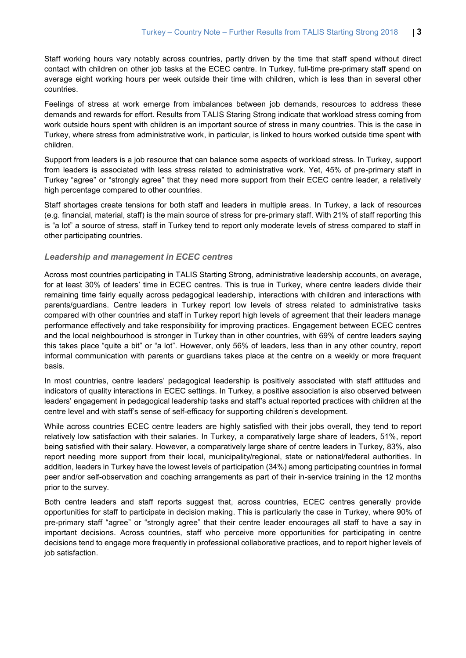Staff working hours vary notably across countries, partly driven by the time that staff spend without direct contact with children on other job tasks at the ECEC centre. In Turkey, full-time pre-primary staff spend on average eight working hours per week outside their time with children, which is less than in several other countries.

Feelings of stress at work emerge from imbalances between job demands, resources to address these demands and rewards for effort. Results from TALIS Staring Strong indicate that workload stress coming from work outside hours spent with children is an important source of stress in many countries. This is the case in Turkey, where stress from administrative work, in particular, is linked to hours worked outside time spent with children.

Support from leaders is a job resource that can balance some aspects of workload stress. In Turkey, support from leaders is associated with less stress related to administrative work. Yet, 45% of pre-primary staff in Turkey "agree" or "strongly agree" that they need more support from their ECEC centre leader, a relatively high percentage compared to other countries.

Staff shortages create tensions for both staff and leaders in multiple areas. In Turkey, a lack of resources (e.g. financial, material, staff) is the main source of stress for pre-primary staff. With 21% of staff reporting this is "a lot" a source of stress, staff in Turkey tend to report only moderate levels of stress compared to staff in other participating countries.

#### *Leadership and management in ECEC centres*

Across most countries participating in TALIS Starting Strong, administrative leadership accounts, on average, for at least 30% of leaders' time in ECEC centres. This is true in Turkey, where centre leaders divide their remaining time fairly equally across pedagogical leadership, interactions with children and interactions with parents/guardians. Centre leaders in Turkey report low levels of stress related to administrative tasks compared with other countries and staff in Turkey report high levels of agreement that their leaders manage performance effectively and take responsibility for improving practices. Engagement between ECEC centres and the local neighbourhood is stronger in Turkey than in other countries, with 69% of centre leaders saying this takes place "quite a bit" or "a lot". However, only 56% of leaders, less than in any other country, report informal communication with parents or guardians takes place at the centre on a weekly or more frequent basis.

In most countries, centre leaders' pedagogical leadership is positively associated with staff attitudes and indicators of quality interactions in ECEC settings. In Turkey, a positive association is also observed between leaders' engagement in pedagogical leadership tasks and staff's actual reported practices with children at the centre level and with staff's sense of self-efficacy for supporting children's development.

While across countries ECEC centre leaders are highly satisfied with their jobs overall, they tend to report relatively low satisfaction with their salaries. In Turkey, a comparatively large share of leaders, 51%, report being satisfied with their salary. However, a comparatively large share of centre leaders in Turkey, 83%, also report needing more support from their local, municipality/regional, state or national/federal authorities. In addition, leaders in Turkey have the lowest levels of participation (34%) among participating countries in formal peer and/or self-observation and coaching arrangements as part of their in-service training in the 12 months prior to the survey.

Both centre leaders and staff reports suggest that, across countries, ECEC centres generally provide opportunities for staff to participate in decision making. This is particularly the case in Turkey, where 90% of pre-primary staff "agree" or "strongly agree" that their centre leader encourages all staff to have a say in important decisions. Across countries, staff who perceive more opportunities for participating in centre decisions tend to engage more frequently in professional collaborative practices, and to report higher levels of iob satisfaction.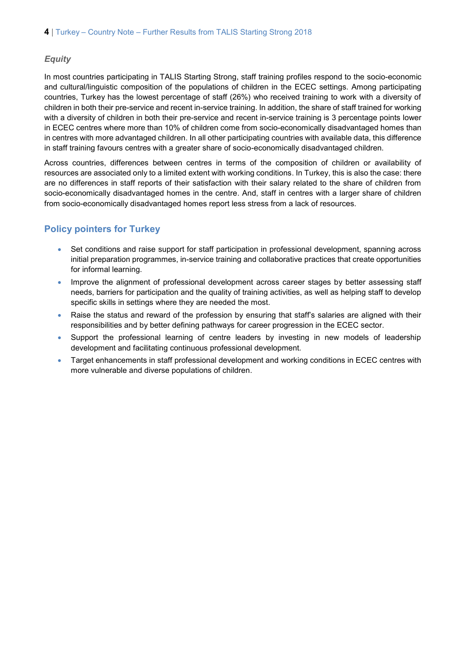#### *Equity*

In most countries participating in TALIS Starting Strong, staff training profiles respond to the socio-economic and cultural/linguistic composition of the populations of children in the ECEC settings. Among participating countries, Turkey has the lowest percentage of staff (26%) who received training to work with a diversity of children in both their pre-service and recent in-service training. In addition, the share of staff trained for working with a diversity of children in both their pre-service and recent in-service training is 3 percentage points lower in ECEC centres where more than 10% of children come from socio-economically disadvantaged homes than in centres with more advantaged children. In all other participating countries with available data, this difference in staff training favours centres with a greater share of socio-economically disadvantaged children.

Across countries, differences between centres in terms of the composition of children or availability of resources are associated only to a limited extent with working conditions. In Turkey, this is also the case: there are no differences in staff reports of their satisfaction with their salary related to the share of children from socio-economically disadvantaged homes in the centre. And, staff in centres with a larger share of children from socio-economically disadvantaged homes report less stress from a lack of resources.

### **Policy pointers for Turkey**

- Set conditions and raise support for staff participation in professional development, spanning across initial preparation programmes, in-service training and collaborative practices that create opportunities for informal learning.
- Improve the alignment of professional development across career stages by better assessing staff needs, barriers for participation and the quality of training activities, as well as helping staff to develop specific skills in settings where they are needed the most.
- Raise the status and reward of the profession by ensuring that staff's salaries are aligned with their responsibilities and by better defining pathways for career progression in the ECEC sector.
- Support the professional learning of centre leaders by investing in new models of leadership development and facilitating continuous professional development.
- Target enhancements in staff professional development and working conditions in ECEC centres with more vulnerable and diverse populations of children.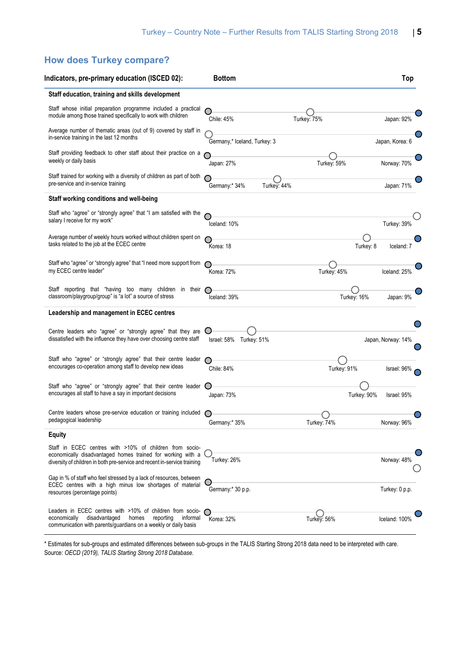## **How does Turkey compare?**

| Indicators, pre-primary education (ISCED 02):                                                                                                                                                      | <b>Bottom</b>                |             | Top                        |
|----------------------------------------------------------------------------------------------------------------------------------------------------------------------------------------------------|------------------------------|-------------|----------------------------|
| Staff education, training and skills development                                                                                                                                                   |                              |             |                            |
| Staff whose initial preparation programme included a practical<br>module among those trained specifically to work with children                                                                    | Chile: 45%                   | Turkey: 75% | Japan: 92%                 |
| Average number of thematic areas (out of 9) covered by staff in<br>in-service training in the last 12 months                                                                                       | Germany,* Iceland, Turkey: 3 |             | Japan, Korea: 6            |
| Staff providing feedback to other staff about their practice on a<br>weekly or daily basis                                                                                                         | Japan: 27%                   | Turkey: 59% | Norway: 70%                |
| Staff trained for working with a diversity of children as part of both<br>pre-service and in-service training                                                                                      | Germany:* 34%<br>Turkey: 44% |             | Japan: 71%                 |
| Staff working conditions and well-being                                                                                                                                                            |                              |             |                            |
| Staff who "agree" or "strongly agree" that "I am satisfied with the<br>salary I receive for my work"                                                                                               | Iceland: 10%                 |             | Turkey: 39%                |
| Average number of weekly hours worked without children spent on<br>tasks related to the job at the ECEC centre                                                                                     | Korea: 18                    |             | Turkey: 8<br>Iceland: 7    |
| Staff who "agree" or "strongly agree" that "I need more support from<br>my ECEC centre leader"                                                                                                     | Korea: 72%                   | Turkey: 45% | Iceland: 25%               |
| Staff reporting that "having too many children in their<br>classroom/playgroup/group" is "a lot" a source of stress                                                                                | Iceland: 39%                 | Turkey: 16% | Japan: 9%                  |
| Leadership and management in ECEC centres                                                                                                                                                          |                              |             |                            |
| Centre leaders who "agree" or "strongly agree" that they are<br>dissatisfied with the influence they have over choosing centre staff                                                               | Israel: 58% Turkey: 51%      |             | Japan, Norway: 14%         |
| Staff who "agree" or "strongly agree" that their centre leader<br>encourages co-operation among staff to develop new ideas                                                                         | Chile: 84%                   | Turkey: 91% | Israel: 96%                |
| Staff who "agree" or "strongly agree" that their centre leader<br>encourages all staff to have a say in important decisions                                                                        | Japan: 73%                   |             | Turkey: 90%<br>Israel: 95% |
| Centre leaders whose pre-service education or training included<br>pedagogical leadership                                                                                                          | Germany:* 35%                | Turkey: 74% | Norway: 96%                |
| Equity                                                                                                                                                                                             |                              |             |                            |
| Staff in ECEC centres with >10% of children from socio-<br>economically disadvantaged homes trained for working with a<br>diversity of children in both pre-service and recent in-service training | Turkey: 26%                  |             | Norway: 48%                |
| Gap in % of staff who feel stressed by a lack of resources, between<br>ECEC centres with a high minus low shortages of material<br>resources (percentage points)                                   | Germany:* 30 p.p.            |             | Turkey: 0 p.p.             |
| Leaders in ECEC centres with >10% of children from socio-<br>disadvantaged<br>reporting<br>economically<br>homes<br>informal<br>communication with parents/guardians on a weekly or daily basis    | Korea: 32%                   | Turkey: 56% | Iceland: 100%              |

\* Estimates for sub-groups and estimated differences between sub-groups in the TALIS Starting Strong 2018 data need to be interpreted with care. Source: *OECD (2019), TALIS Starting Strong 2018 Database.*